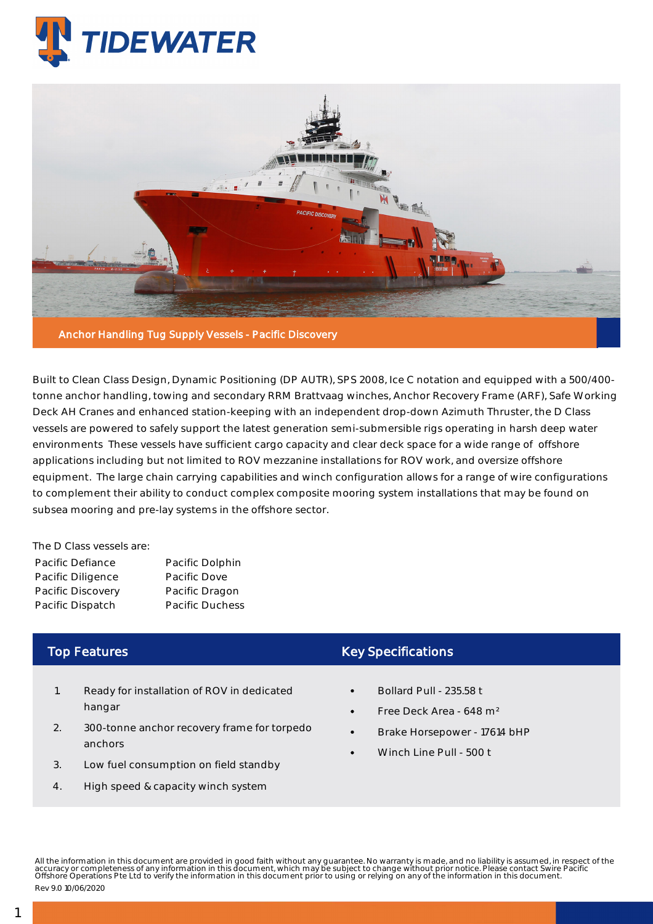



Built to Clean Class Design, Dynamic Positioning (DP AUTR), SPS 2008, Ice C notation and equipped with a 500/400 tonne anchor handling, towing and secondary RRM Brattvaag winches, Anchor Recovery Frame (ARF), Safe Working Deck AH Cranes and enhanced station-keeping with an independent drop-down Azimuth Thruster, the D Class vessels are powered to safely support the latest generation semi-submersible rigs operating in harsh deep water environments These vessels have sufficient cargo capacity and clear deck space for a wide range of offshore applications including but not limited to ROV mezzanine installations for ROV work, and oversize offshore equipment. The large chain carrying capabilities and winch configuration allows for a range of wire configurations to complement their ability to conduct complex composite mooring system installations that may be found on subsea mooring and pre-lay systems in the offshore sector.

The D Class vessels are:

| Pacific Defiance  | Pacific Dolphin        |
|-------------------|------------------------|
| Pacific Diligence | Pacific Dove           |
| Pacific Discovery | Pacific Dragon         |
| Pacific Dispatch  | <b>Pacific Duchess</b> |

## Top Features

- 1. Ready for installation of ROV in dedicated hangar
- 2. 300-tonne anchor recovery frame for torpedo anchors
- 3. Low fuel consumption on field standby
- 4. High speed & capacity winch system

## Key Specifications

- Bollard Pull 235.58 t
- Free Deck Area 648 m²
- Brake Horsepower 17614 bHP
- Winch Line Pull 500 t

All the information in this document are provided in good faith without any guarantee. No warranty is made, and no liability is assumed, in respect of the<br>accuracy or completeness of any information in this document, which Rev 9.0 10/06/2020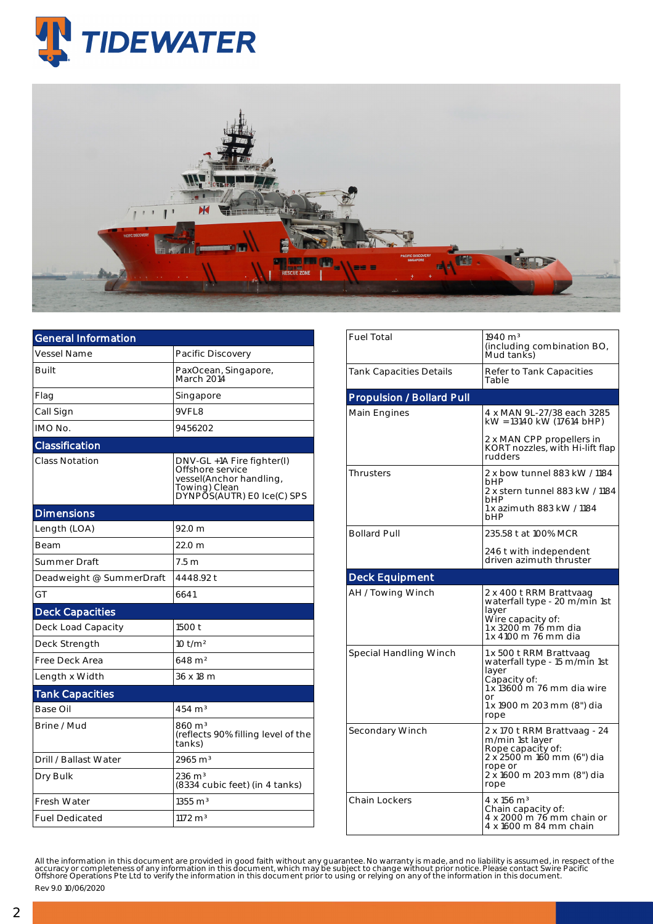



| <b>General Information</b> |                                                                                                                          |  |  |  |  |
|----------------------------|--------------------------------------------------------------------------------------------------------------------------|--|--|--|--|
| <b>Vessel Name</b>         | Pacific Discovery                                                                                                        |  |  |  |  |
| Built                      | PaxOcean, Singapore,<br>March 2014                                                                                       |  |  |  |  |
| Flag                       | Singapore                                                                                                                |  |  |  |  |
| Call Sign                  | 9VFL8                                                                                                                    |  |  |  |  |
| IMO No.                    | 9456202                                                                                                                  |  |  |  |  |
| Classification             |                                                                                                                          |  |  |  |  |
| <b>Class Notation</b>      | DNV-GL +1A Fire fighter(I)<br>Offshore service<br>vessel(Anchor handling,<br>Towing) Clean<br>DYNPOS(AUTR) EO Ice(C) SPS |  |  |  |  |
| <b>Dimensions</b>          |                                                                                                                          |  |  |  |  |
| Length (LOA)               | 92.0 m                                                                                                                   |  |  |  |  |
| Beam                       | 22.0 m                                                                                                                   |  |  |  |  |
| Summer Draft               | 7.5 m                                                                                                                    |  |  |  |  |
| Deadweight @ SummerDraft   | 4448.92 t                                                                                                                |  |  |  |  |
| GT                         | 6641                                                                                                                     |  |  |  |  |
| <b>Deck Capacities</b>     |                                                                                                                          |  |  |  |  |
| Deck Load Capacity         | 1500 t                                                                                                                   |  |  |  |  |
| Deck Strength              | $10$ t/m <sup>2</sup>                                                                                                    |  |  |  |  |
| Free Deck Area             | $648 \; \mathrm{m}^2$                                                                                                    |  |  |  |  |
| Length x Width             | 36 x 18 m                                                                                                                |  |  |  |  |
| <b>Tank Capacities</b>     |                                                                                                                          |  |  |  |  |
| Base Oil                   | $454 \text{ m}^3$                                                                                                        |  |  |  |  |
| Brine / Mud                | $860 \,\mathrm{m}^3$<br>(reflects 90% filling level of the<br>tanks)                                                     |  |  |  |  |
| Drill / Ballast Water      | 2965 m <sup>3</sup>                                                                                                      |  |  |  |  |
| Dry Bulk                   | $236 \text{ m}^3$<br>(8334 cubic feet) (in 4 tanks)                                                                      |  |  |  |  |
| <b>Fresh Water</b>         | $1355 \text{ m}^3$                                                                                                       |  |  |  |  |
| <b>Fuel Dedicated</b>      | $1172 \text{ m}^3$                                                                                                       |  |  |  |  |

| <b>Fuel Total</b>                | $1940 \text{ m}^3$<br>(including combination BO,<br>Mud tanks)                                                                                              |  |  |  |
|----------------------------------|-------------------------------------------------------------------------------------------------------------------------------------------------------------|--|--|--|
| <b>Tank Capacities Details</b>   | Refer to Tank Capacities<br>Table                                                                                                                           |  |  |  |
| <b>Propulsion / Bollard Pull</b> |                                                                                                                                                             |  |  |  |
| Main Engines                     | 4 x MAN 9L-27/38 each 3285<br>kW = 13140 kW (17614 bHP)                                                                                                     |  |  |  |
|                                  | 2 x MAN CPP propellers in<br>KORT nozzles, with Hi-lift flap<br>rudders                                                                                     |  |  |  |
| <b>Thrusters</b>                 | 2 x bow tunnel 883 kW / 1184<br><b>bHP</b><br>2 x stern tunnel 883 kW / 1184<br>bHP<br>1 x azimuth 883 kW / 1184<br><b>bHP</b>                              |  |  |  |
| <b>Bollard Pull</b>              | 235.58 t at 100% MCR                                                                                                                                        |  |  |  |
|                                  | 246 t with independent<br>driven azimuth thruster                                                                                                           |  |  |  |
| <b>Deck Equipment</b>            |                                                                                                                                                             |  |  |  |
| AH / Towing Winch                | 2 x 400 t RRM Brattvaag<br>waterfall type - 20 m/min 1st<br>layer<br>Wire capacity of:<br>1 x 3200 m 76 mm dia<br>1 x 4100 m 76 mm dia                      |  |  |  |
| Special Handling Winch           | 1 x 500 t RRM Brattvaag<br>waterfall type - 15 m/min 1st<br>layer<br>Capacity of:<br>1 x 13600 m 76 mm dia wire<br>or<br>1 x 1900 m 203 mm (8") dia<br>rope |  |  |  |
| Secondary Winch                  | 2 x 170 t RRM Brattvaag - 24<br>m/min 1st layer<br>Rope capacity of:<br>2 x 2500 m 160 mm (6") dia<br>rope or<br>2 x 1600 m 203 mm (8") dia<br>rope         |  |  |  |
| <b>Chain Lockers</b>             | 4 x 156 m <sup>3</sup><br>Chain capacity of:<br>4 x 2000 m 76 mm chain or<br>4 x 1600 m 84 mm chain                                                         |  |  |  |

All the information in this document are provided in good faith without any guarantee. No warranty is made, and no liability is assumed, in respect of the<br>accuracy or completeness of any information in this document, which

Rev 9.0 10/06/2020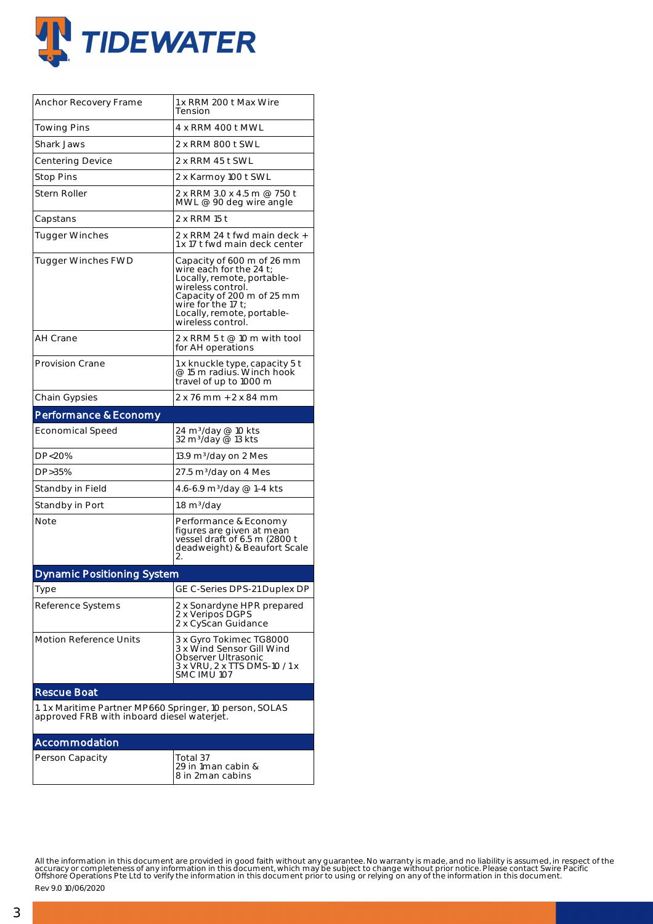

| Anchor Recovery Frame                                                                                 | 1 x RRM 200 t Max Wire<br>Tension                                                                                                                                                                                  |  |  |  |
|-------------------------------------------------------------------------------------------------------|--------------------------------------------------------------------------------------------------------------------------------------------------------------------------------------------------------------------|--|--|--|
| Towing Pins                                                                                           | 4 x RRM 400 t MWL                                                                                                                                                                                                  |  |  |  |
| Shark Jaws                                                                                            | 2 x RRM 800 t SWL                                                                                                                                                                                                  |  |  |  |
| <b>Centering Device</b>                                                                               | 2 x RRM 45 t SWL                                                                                                                                                                                                   |  |  |  |
| <b>Stop Pins</b>                                                                                      | 2 x Karmoy 100 t SWL                                                                                                                                                                                               |  |  |  |
| Stern Roller                                                                                          | 2 x RRM 3.0 x 4.5 m @ 750 t<br>MWL @ 90 deg wire angle                                                                                                                                                             |  |  |  |
| Capstans                                                                                              | 2 x RRM 15 t                                                                                                                                                                                                       |  |  |  |
| Tugger Winches                                                                                        | 2 x RRM 24 t fwd main deck +<br>1 x 17 t fwd main deck center                                                                                                                                                      |  |  |  |
| Tugger Winches FWD                                                                                    | Capacity of 600 m of 26 mm<br>wire each for the 24 t;<br>Locally, remote, portable-<br>wireless control.<br>Capacity of 200 m of 25 mm<br>wire for the 17 $t$ ;<br>Locally, remote, portable-<br>wireless control. |  |  |  |
| AH Crane                                                                                              | 2 x RRM 5 t $@$ 10 m with tool<br>for AH operations                                                                                                                                                                |  |  |  |
| Provision Crane                                                                                       | 1 x knuckle type, capacity 5 t<br>@ 15 m radius. Winch hook<br>travel of up to 1000 m                                                                                                                              |  |  |  |
| <b>Chain Gypsies</b>                                                                                  | 2 x 76 mm + 2 x 84 mm                                                                                                                                                                                              |  |  |  |
| Performance & Economy                                                                                 |                                                                                                                                                                                                                    |  |  |  |
| <b>Economical Speed</b>                                                                               | 24 m <sup>3</sup> /day @ 10 kts<br>32 m <sup>3</sup> /day @ 13 kts                                                                                                                                                 |  |  |  |
| DP<20%                                                                                                | 13.9 m <sup>3</sup> /day on 2 Mes                                                                                                                                                                                  |  |  |  |
| DP>35%                                                                                                | 27.5 m3/day on 4 Mes                                                                                                                                                                                               |  |  |  |
| Standby in Field                                                                                      | 4.6-6.9 m <sup>3</sup> /day @ 1-4 kts                                                                                                                                                                              |  |  |  |
| Standby in Port                                                                                       | $1.8 \text{ m}^3/\text{day}$                                                                                                                                                                                       |  |  |  |
| Note                                                                                                  | Performance & Economy<br>figures are given at mean<br>vessel draft of 6.5 m (2800 t<br>deadweight) & Beaufort Scale<br>2.                                                                                          |  |  |  |
| <b>Dynamic Positioning System</b>                                                                     |                                                                                                                                                                                                                    |  |  |  |
| Type                                                                                                  | GE C-Series DPS-21 Duplex DP                                                                                                                                                                                       |  |  |  |
| Reference Systems                                                                                     | 2 x Sonardyne HPR prepared<br>2 x Veripos DGPS<br>2 x CyScan Guidance                                                                                                                                              |  |  |  |
| Motion Reference Units                                                                                | 3 x Gyro Tokimec TG8000<br>3 x Wind Sensor Gill Wind<br>Observer Ultrasonic<br>3 x VRU, 2 x TTS DMS-10 / 1 x<br>SMC IMU 107                                                                                        |  |  |  |
| <b>Rescue Boat</b>                                                                                    |                                                                                                                                                                                                                    |  |  |  |
| 1.1 x Maritime Partner MP660 Springer, 10 person, SOLAS<br>approved FRB with inboard diesel waterjet. |                                                                                                                                                                                                                    |  |  |  |
| Accommodation                                                                                         |                                                                                                                                                                                                                    |  |  |  |
| Person Capacity                                                                                       | Total 37<br>29 in 1man cabin &<br>8 in 2man cabins                                                                                                                                                                 |  |  |  |

All the information in this document are provided in good faith without any guarantee. No warranty is made, and no liability is assumed, in respect of the<br>accuracy or completeness of any information in this document, which

Rev 9.0 10/06/2020